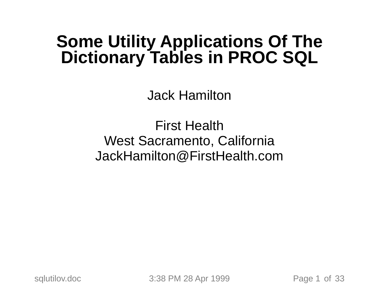# **Some Utility Applications Of The Dictionary Tables in PROC SQL**

Jack Hamilton

First Health West Sacramento, California JackHamilton@FirstHealth.com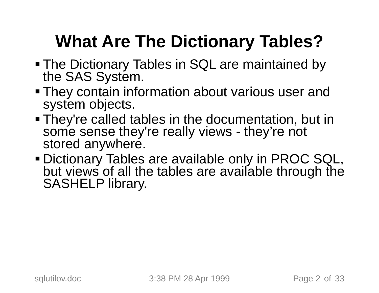# **What Are The Dictionary Tables?**

- The Dictionary Tables in SQL are maintained by the SAS System.
- They contain information about various user and system objects.
- They're called tables in the documentation, but in some sense they're really views - they're not stored anywhere.
- Dictionary Tables are available only in PROC SQL, but views of all the tables are available through the SASHELP library.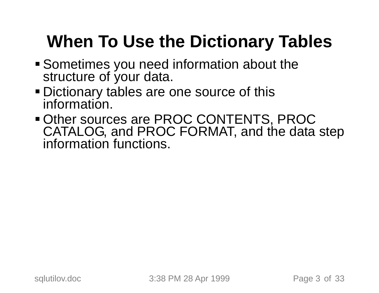# **When To Use the Dictionary Tables**

- Sometimes you need information about the structure of your data.
- Dictionary tables are one source of this information.
- Other sources are PROC CONTENTS, PROC CATALOG, and PROC FORMAT, and the data step information functions.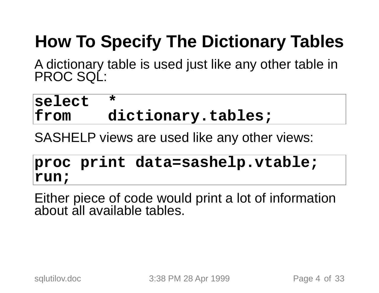# **How To Specify The Dictionary Tables**

<sup>A</sup> dictionary table is used just like any other table in PROC SQL:

#### **select \* from dictionary.tables;**

SASHELP views are used like any other views:

#### **proc print data=sashelp.vtable; run;**

Either piece of code would print <sup>a</sup> lot of information about all available tables.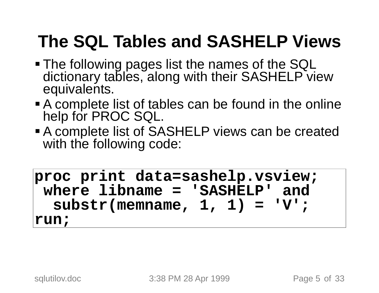### **The SQL Tables and SASHELP Views**

- The following pages list the names of the SQL dictionary tables, along with their SASHELP view equivalents.
- <sup>A</sup> complete list of tables can be found in the online help for PROC SQL.
- <sup>A</sup> complete list of SASHELP views can be created with the following code:

**proc print data=sashelp.vsview; where libname <sup>=</sup> 'SASHELP' and substr(memname, 1, 1) <sup>=</sup> 'V'; run;**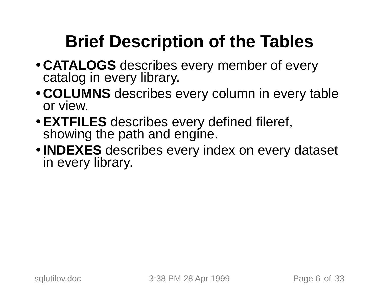# **Brief Description of the Tables**

- **CATALOGS** describes every member of every catalog in every library.
- **COLUMNS** describes every column in every table or view.
- **EXTFILES** describes every defined fileref, showing the path and engine.
- **INDEXES** describes every index on every dataset in every library.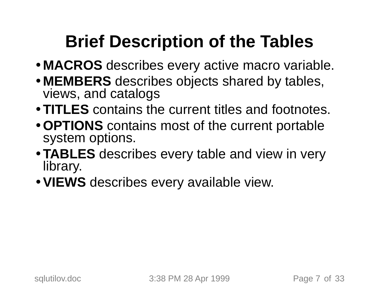## **Brief Description of the Tables**

- **MACROS** describes every active macro variable.
- **MEMBERS** describes objects shared by tables, views, and catalogs
- **TITLES** contains the current titles and footnotes.
- **OPTIONS** contains most of the current portable system options.
- **TABLES** describes every table and view in very library.
- **VIEWS** describes every available view.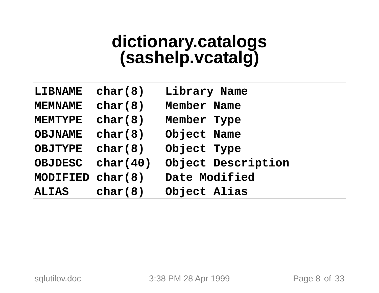# **dictionary.catalogs (sashelp.vcatalg)**

| LIBNAME          | char(8)  | Library Name       |
|------------------|----------|--------------------|
| MEMNAME          | char(8)  | Member Name        |
| <b>MEMTYPE</b>   | char(8)  | Member Type        |
| <b>OBJNAME</b>   | char(8)  | Object Name        |
| <b>OBJTYPE</b>   | char(8)  | Object Type        |
| <b>OBJDESC</b>   | char(40) | Object Description |
| MODIFIED char(8) |          | Date Modified      |
| <b>ALIAS</b>     | char(8)  | Object Alias       |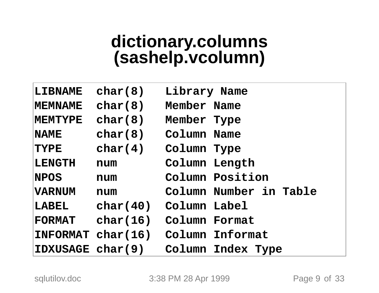# **dictionary.columns (sashelp.vcolumn)**

| LIBNAME           | char(8)  | Library Name           |  |
|-------------------|----------|------------------------|--|
| <b>MEMNAME</b>    | char(8)  | Member Name            |  |
| <b>MEMTYPE</b>    | char(8)  | Member Type            |  |
| $\mathbf{NAME}$   | char(8)  | Column Name            |  |
| <b>TYPE</b>       | char(4)  | Column Type            |  |
| LENGTH            | num      | Column Length          |  |
| $ {\bf NPOS} $    | num      | Column Position        |  |
| <b>VARNUM</b>     | num      | Column Number in Table |  |
| LABEL             | char(40) | Column Label           |  |
| <b>FORMAT</b>     | char(16) | Column Format          |  |
| INTORMAT char(16) |          | Column Informat        |  |
| IDXUSAGE char(9)  |          | Column Index Type      |  |

sqlutilov.doc 3:38 PM 28 Apr 1999 Page 9 of 33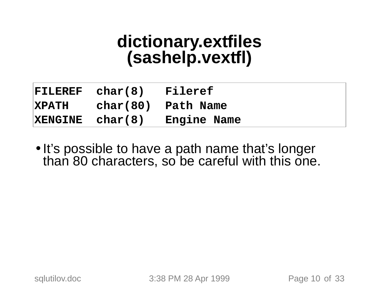# **dictionary.extfiles (sashelp.vextfl)**

| $\verb FILEREF char(8) $ | Fileref                     |
|--------------------------|-----------------------------|
|                          | XPATH char(80) Path Name    |
|                          | XENGINE char(8) Engine Name |

. It's possible to have a path name that's longer than 80 characters, so be careful with this one.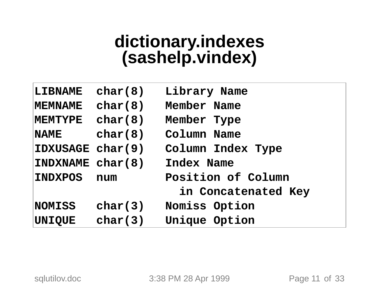# **dictionary.indexes (sashelp.vindex)**

| LIBNAME          | char(8) | Library Name        |  |
|------------------|---------|---------------------|--|
| <b>MEMNAME</b>   | char(8) | Member Name         |  |
| <b>MEMTYPE</b>   | char(8) | Member Type         |  |
| $\mathbf{NAME}$  | char(8) | Column Name         |  |
| IDXUSAGE char(9) |         | Column Index Type   |  |
| INDXNAME char(8) |         | Index Name          |  |
| <b>INDXPOS</b>   | num     | Position of Column  |  |
|                  |         | in Concatenated Key |  |
| <b>NOMISS</b>    | char(3) | Nomiss Option       |  |
| <b>UNIQUE</b>    | char(3) | Unique Option       |  |

sqlutilov.doc 3:38 PM 28 Apr 1999 Page 11 of 33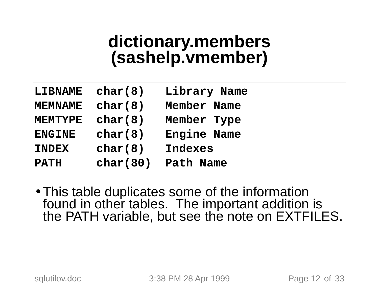# **dictionary.members (sashelp.vmember)**

| <b>LIBNAME</b> | char(8)  | Library Name |
|----------------|----------|--------------|
| <b>MEMNAME</b> | char(8)  | Member Name  |
| <b>MEMTYPE</b> | char(8)  | Member Type  |
| <b>ENGINE</b>  | char(8)  | Engine Name  |
| <b>INDEX</b>   | char(8)  | Indexes      |
| <b>PATH</b>    | char(80) | Path Name    |

• This table duplicates some of the information found in other tables. The important addition is the PATH variable, but see the note on EXTFILES.

sqlutilov.doc 3:38 PM 28 Apr 1999 Page 12 of 33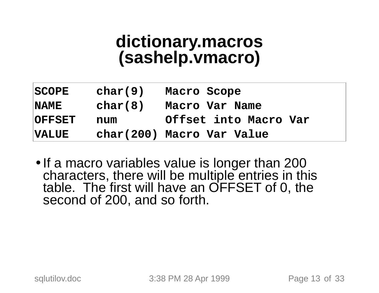# **dictionary.macros (sashelp.vmacro)**

| <b>SCOPE</b>  | char(9) | Macro Scope               |
|---------------|---------|---------------------------|
| <b>NAME</b>   | char(8) | Macro Var Name            |
| <b>OFFSET</b> | num     | Offset into Macro Var     |
| $\sf{VALUE}$  |         | char(200) Macro Var Value |

• If a macro variables value is longer than 200 characters, there will be multiple entries in this table. The first will have an OFFSET of 0, the second of 200, and so forth.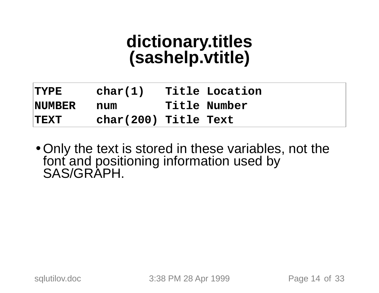# **dictionary.titles (sashelp.vtitle)**

| <b>TYPE</b>    | char(1)              | Title Location |
|----------------|----------------------|----------------|
| <b>NUMBER</b>  | num                  | Title Number   |
| $ {\rm TEXT} $ | char(200) Title Text |                |

• Only the text is stored in these variables, not the font and positioning information used by SAS/GRAPH.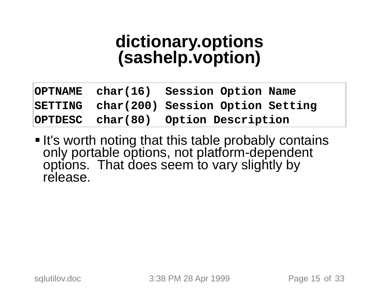# **dictionary.options (sashelp.voption)**

|  | OPTNAME char(16) Session Option Name     |
|--|------------------------------------------|
|  | SETTING char(200) Session Option Setting |
|  | OPTDESC char(80) Option Description      |

• It's worth noting that this table probably contains only portable options, not platform-dependent options. That does seem to vary slightly by release.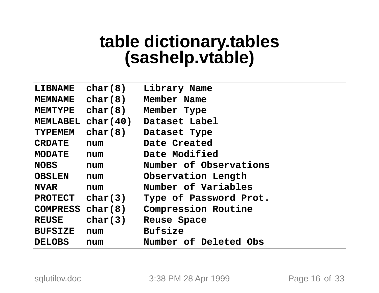# **table dictionary.tables (sashelp.vtable)**

| LIBNAME                                                                  | char(8)                       | Library Name                    |
|--------------------------------------------------------------------------|-------------------------------|---------------------------------|
| <b>MEMNAME</b>                                                           | char(8)                       | Member Name                     |
| $\mathbf{M}\mathbf{E}\mathbf{M}\mathbf{T}\mathbf{Y}\mathbf{P}\mathbf{E}$ | char(8)                       | Member Type                     |
|                                                                          |                               | MEMLABEL char(40) Dataset Label |
| <b>TYPEMEM</b>                                                           | char(8)                       | Dataset Type                    |
| <b>CRDATE</b>                                                            | num                           | Date Created                    |
| MODATE                                                                   | num                           | Date Modified                   |
| $\sf{NOBS}$                                                              | num                           | Number of Observations          |
| <b>OBSLEN</b>                                                            | num                           | Observation Length              |
| $\sf INVAR$                                                              | num                           | Number of Variables             |
|                                                                          | $ \texttt{PROTECT } char(3) $ | Type of Password Prot.          |
|                                                                          | COMPRESS char(8)              | <b>Compression Routine</b>      |
| <b>REUSE</b>                                                             | char(3)                       | Reuse Space                     |
| <b>BUFSIZE</b>                                                           | num                           | <b>Bufsize</b>                  |
| DELOBS                                                                   | num                           | Number of Deleted Obs           |

sqlutilov.doc 3:38 PM 28 Apr 1999 Page 16 of 33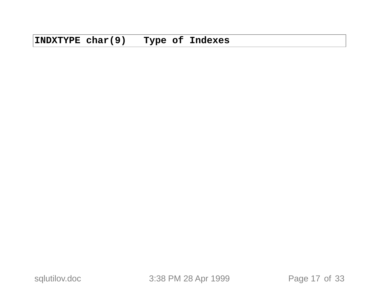sqlutilov.doc 3:38 PM 28 Apr 1999 Page 17 of 33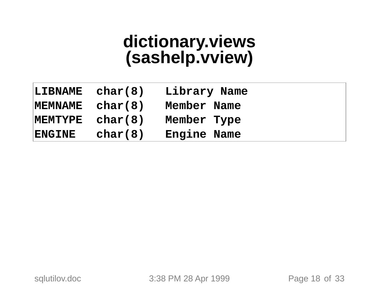# **dictionary.views (sashelp.vview)**

| LIBNAME        | char(8) | Library Name |
|----------------|---------|--------------|
| MEMNAME        | char(8) | Member Name  |
| <b>MEMTYPE</b> | char(8) | Member Type  |
| <b>ENGINE</b>  | char(8) | Engine Name  |

sqlutilov.doc 3:38 PM 28 Apr 1999 Page 18 of 33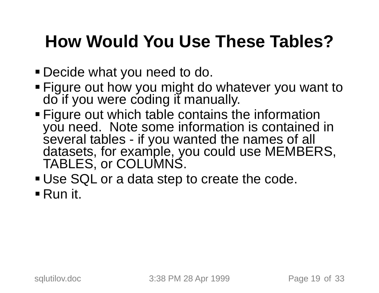### **How Would You Use These Tables?**

- Decide what you need to do.
- Figure out how you might do whatever you want to do if you were coding it manually.
- Figure out which table contains the information you need. Note some information is contained in several tables - if you wanted the names of all datasets, for example, you could use MEMBERS, TABLES, or COLUMNS.
- Use SQL or <sup>a</sup> data step to create the code.
- Run it.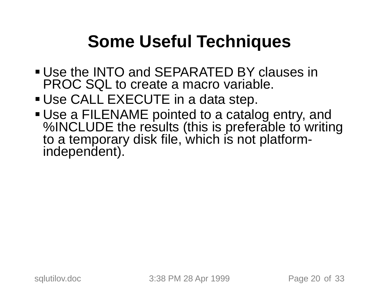### **Some Useful Techniques**

- Use the INTO and SEPARATED BY clauses in PROC SQL to create <sup>a</sup> macro variable.
- Use CALL EXECUTE in <sup>a</sup> data step.
- Use a FILENAME pointed to a catalog entry, and %INCLUDE the results (this is preferable to writing to <sup>a</sup> temporary disk file, which is not platform- independent).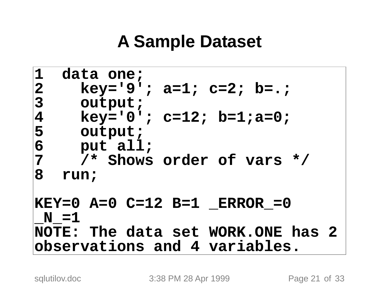#### **A Sample Dataset**

```
1 data one;
2 key='9'; a=1; c=2; b=.;
3 output;
4 key='0'; c=12; b=1;a=0;
5 output;
6 put all;
7 /* Shows order of vars */
8 run;
KEY=0 A=0 C=12 B=1 _ERROR_=0
N = 1NOTE: The data set WORK.ONE has 2
observations and 4 variables.
```
sqlutilov.doc 3:38 PM 28 Apr 1999 Page 21 of 33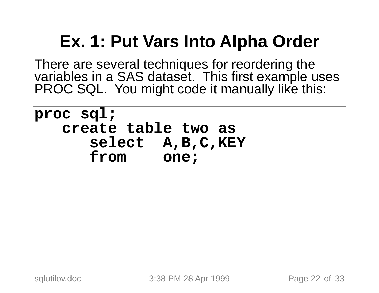### **Ex. 1: Put Vars Into Alpha Order**

There are several techniques for reordering the<br>variables in a SAS dataset. This first example uses<br>PROC SQL. You might code it manually like this:

**proc sql; create table two as select A,B,C,KEY from one;**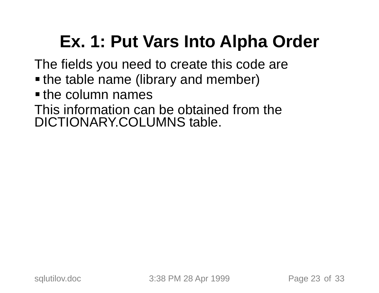## **Ex. 1: Put Vars Into Alpha Order**

The fields you need to create this code are

- **the table name (library and member)**
- **the column names**

This information can be obtained from the DICTIONARY.COLUMNS table.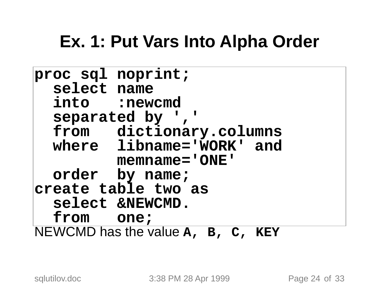#### **Ex. 1: Put Vars Into Alpha Order**

```
proc sql noprint;
  select name
  into :newcmd
  separated by ','
  from dictionary.columns
 where libname='WORK' and
         memname='ONE'
  order by name;
create table two as
  select &NEWCMD.
  from one;
NEWCMD has the value A, B, C, KEY
```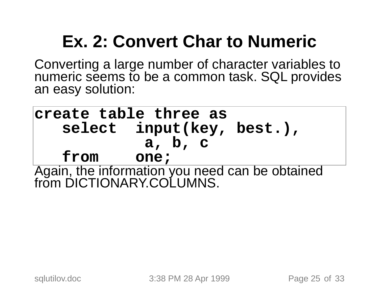# **Ex. 2: Convert Char to Numeric**

Converting <sup>a</sup> large number of character variables to numeric seems to be <sup>a</sup> common task. SQL provides an easy solution:

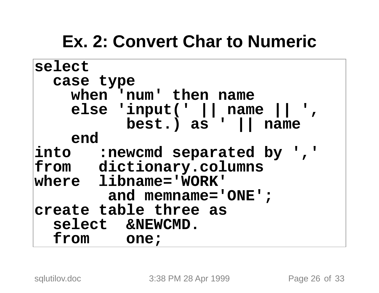#### **Ex. 2: Convert Char to Numeric**

```
select
  case type
   when 'num' then name
   else 'input(' || name || ', best.) as ' || name
    end
into :newcmd separated by ','
from dictionary.columns
where libname='WORK'
        and memname='ONE';
create table three as
  select &NEWCMD.
  from one;
```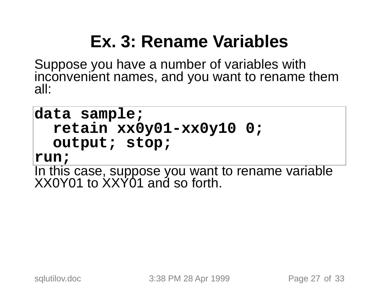### **Ex. 3: Rename Variables**

Suppose you have <sup>a</sup> number of variables with inconvenient names, and you want to rename them all:

#### **data sample; retain xx0y01-xx0y10 0; output; stop;**

**run;**

In this case, suppose you want to rename variable XX0Y01 to XXY01 and so forth.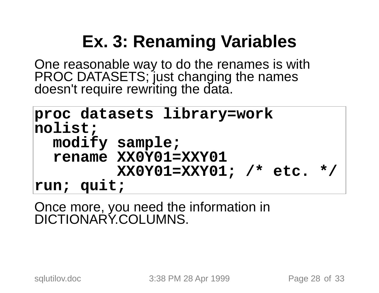## **Ex. 3: Renaming Variables**

One reasonable way to do the renames is with PROC DATASETS; just changing the names doesn't require rewriting the data.

```
proc datasets library=work
nolist;
  modify sample;
  rename XX0Y01=XXY01
         XX0Y01=XXY01; /* etc. */
run; quit;
```
Once more, you need the information in<br>DICTIONARY.COLUMNS.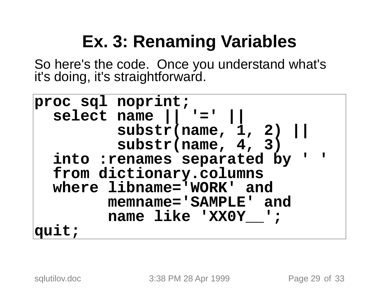### **Ex. 3: Renaming Variables**

So here's the code. Once you understand what's it's doing, it's straightforward.

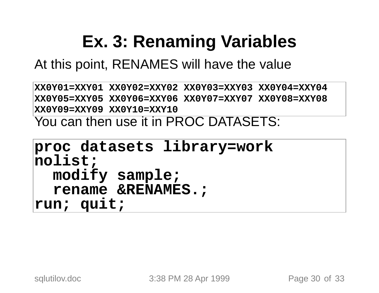### **Ex. 3: Renaming Variables**

At this point, RENAMES will have the value

**XX0Y01=XXY01 XX0Y02=XXY02 XX0Y03=XXY03 XX0Y04=XXY04 XX0Y05=XXY05 XX0Y06=XXY06 XX0Y07=XXY07 XX0Y08=XXY08 XX0Y09=XXY09 XX0Y10=XXY10** You can then use it in PROC DATASETS:

```
proc datasets library=work
nolist;
  modify sample;
  rename &RENAMES.;
run; quit;
```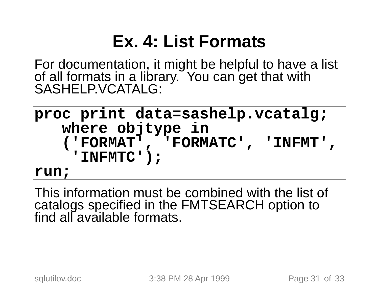### **Ex. 4: List Formats**

For documentation, it might be helpful to have a list of all formats in a library. You can get that with SASHELP.VCATALG:

**proc print data=sashelp.vcatalg; where objtype in ('FORMAT', 'FORMATC', 'INFMT', 'INFMTC'); run;**

This information must be combined with the list of catalogs specified in the FMTSEARCH option to find all available formats.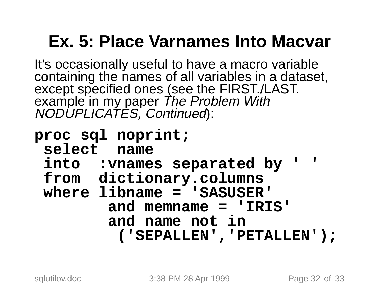### **Ex. 5: Place Varnames Into Macvar**

It's occasionally useful to have a macro variable<br>containing the names of all variables in a dataset,<br>except specified ones (see the FIRST./LAST. example in my paper The Problem With<br>NODUPLICATES, Continued):

| proc sql noprint;              |
|--------------------------------|
| select name                    |
| into : vnames separated by ' ' |
| from dictionary.columns        |
| where libname = 'SASUSER'      |
| and memname = $'IRIS'$         |
| and name not in                |
| ( 'SEPALLEN', 'PETALLEN' ) ;   |